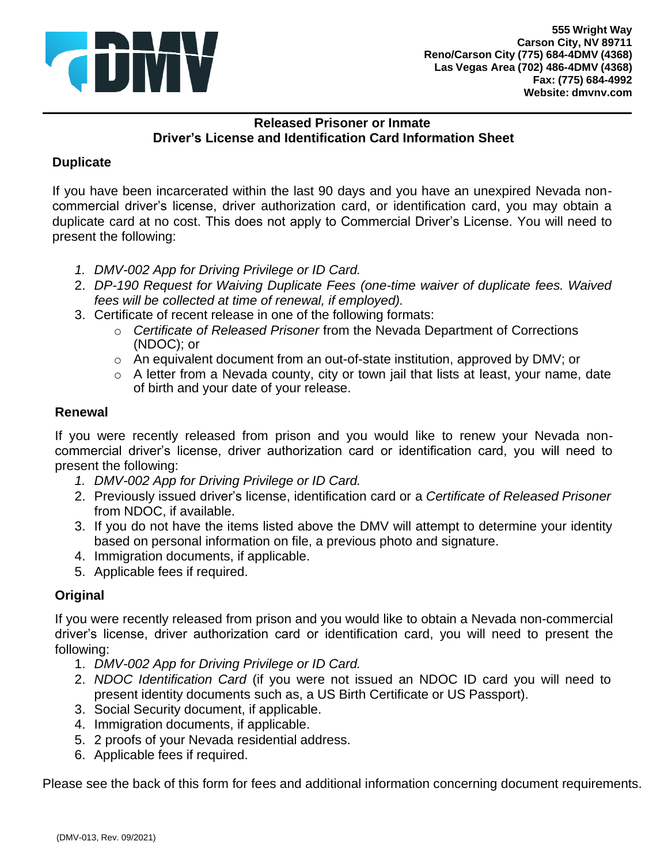

## **Released Prisoner or Inmate Driver's License and Identification Card Information Sheet**

# **Duplicate**

 If you have been incarcerated within the last 90 days and you have an unexpired Nevada non- commercial driver's license, driver authorization card, or identification card, you may obtain a duplicate card at no cost. This does not apply to Commercial Driver's License. You will need to present the following:

- *1. DMV-002 App for Driving Privilege or ID Card.*
- 2. *DP-190 Request for Waiving Duplicate Fees (one-time waiver of duplicate fees. Waived fees will be collected at time of renewal, if employed).*
- 3. Certificate of recent release in one of the following formats:
	- o *Certificate of Released Prisoner* from the Nevada Department of Corrections (NDOC); or
	- $\circ$  An equivalent document from an out-of-state institution, approved by DMV; or
	- $\circ$  A letter from a Nevada county, city or town jail that lists at least, your name, date of birth and your date of your release.

### **Renewal**

 If you were recently released from prison and you would like to renew your Nevada non- commercial driver's license, driver authorization card or identification card, you will need to present the following:

- *1. DMV-002 App for Driving Privilege or ID Card.*
- 2. Previously issued driver's license, identification card or a *Certificate of Released Prisoner*  from NDOC, if available.
- 3. If you do not have the items listed above the DMV will attempt to determine your identity based on personal information on file, a previous photo and signature.
- 4. Immigration documents, if applicable.
- 5. Applicable fees if required.

### **Original**

 driver's license, driver authorization card or identification card, you will need to present the If you were recently released from prison and you would like to obtain a Nevada non-commercial following:

- 1. *DMV-002 App for Driving Privilege or ID Card.*
- 2. *NDOC Identification Card* (if you were not issued an NDOC ID card you will need to present identity documents such as, a US Birth Certificate or US Passport).
- 3. Social Security document, if applicable.
- 4. Immigration documents, if applicable.
- 5. 2 proofs of your Nevada residential address.
- 6. Applicable fees if required.

Please see the back of this form for fees and additional information concerning document requirements.